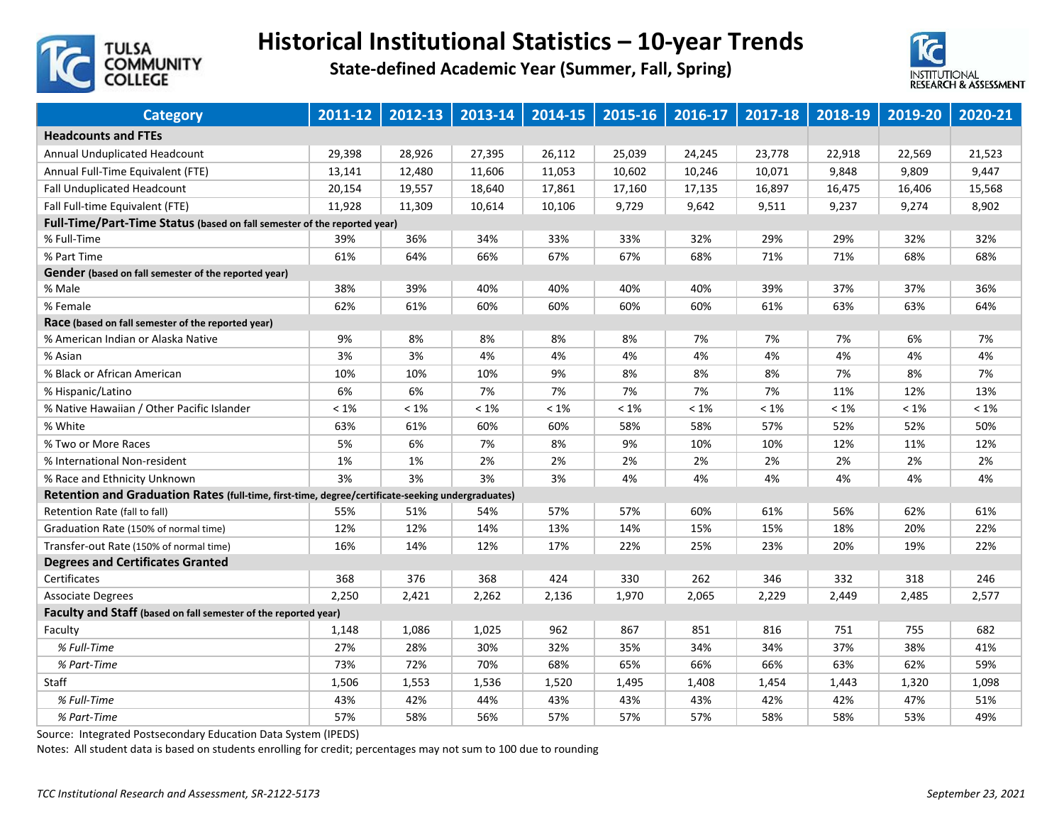

## **Historical Institutional Statistics – 10‐year Trends**

**State‐defined Academic Year (Summer, Fall, Spring)**



| <b>Category</b>                                                                                   | 2011-12 | 2012-13 | 2013-14 | 2014-15 | 2015-16 | 2016-17 | 2017-18 | 2018-19 | 2019-20 | 2020-21 |
|---------------------------------------------------------------------------------------------------|---------|---------|---------|---------|---------|---------|---------|---------|---------|---------|
| <b>Headcounts and FTEs</b>                                                                        |         |         |         |         |         |         |         |         |         |         |
| <b>Annual Unduplicated Headcount</b>                                                              | 29,398  | 28,926  | 27,395  | 26,112  | 25,039  | 24,245  | 23,778  | 22,918  | 22,569  | 21,523  |
| Annual Full-Time Equivalent (FTE)                                                                 | 13,141  | 12,480  | 11,606  | 11,053  | 10,602  | 10,246  | 10,071  | 9,848   | 9,809   | 9,447   |
| Fall Unduplicated Headcount                                                                       | 20,154  | 19,557  | 18,640  | 17,861  | 17,160  | 17,135  | 16,897  | 16,475  | 16,406  | 15,568  |
| Fall Full-time Equivalent (FTE)                                                                   | 11,928  | 11,309  | 10,614  | 10,106  | 9,729   | 9,642   | 9,511   | 9,237   | 9,274   | 8,902   |
| Full-Time/Part-Time Status (based on fall semester of the reported year)                          |         |         |         |         |         |         |         |         |         |         |
| % Full-Time                                                                                       | 39%     | 36%     | 34%     | 33%     | 33%     | 32%     | 29%     | 29%     | 32%     | 32%     |
| % Part Time                                                                                       | 61%     | 64%     | 66%     | 67%     | 67%     | 68%     | 71%     | 71%     | 68%     | 68%     |
| Gender (based on fall semester of the reported year)                                              |         |         |         |         |         |         |         |         |         |         |
| % Male                                                                                            | 38%     | 39%     | 40%     | 40%     | 40%     | 40%     | 39%     | 37%     | 37%     | 36%     |
| % Female                                                                                          | 62%     | 61%     | 60%     | 60%     | 60%     | 60%     | 61%     | 63%     | 63%     | 64%     |
| Race (based on fall semester of the reported year)                                                |         |         |         |         |         |         |         |         |         |         |
| % American Indian or Alaska Native                                                                | 9%      | 8%      | 8%      | 8%      | 8%      | 7%      | 7%      | 7%      | 6%      | 7%      |
| % Asian                                                                                           | 3%      | 3%      | 4%      | 4%      | 4%      | 4%      | 4%      | 4%      | 4%      | 4%      |
| % Black or African American                                                                       | 10%     | 10%     | 10%     | 9%      | 8%      | 8%      | 8%      | 7%      | 8%      | 7%      |
| % Hispanic/Latino                                                                                 | 6%      | 6%      | 7%      | 7%      | 7%      | 7%      | 7%      | 11%     | 12%     | 13%     |
| % Native Hawaiian / Other Pacific Islander                                                        | $< 1\%$ | $< 1\%$ | $<1\%$  | $< 1\%$ | $< 1\%$ | $<1\%$  | $< 1\%$ | $<1\%$  | $< 1\%$ | $<1\%$  |
| % White                                                                                           | 63%     | 61%     | 60%     | 60%     | 58%     | 58%     | 57%     | 52%     | 52%     | 50%     |
| % Two or More Races                                                                               | 5%      | 6%      | 7%      | 8%      | 9%      | 10%     | 10%     | 12%     | 11%     | 12%     |
| % International Non-resident                                                                      | 1%      | 1%      | 2%      | 2%      | 2%      | 2%      | 2%      | 2%      | 2%      | 2%      |
| % Race and Ethnicity Unknown                                                                      | 3%      | 3%      | 3%      | 3%      | 4%      | 4%      | 4%      | 4%      | 4%      | 4%      |
| Retention and Graduation Rates (full-time, first-time, degree/certificate-seeking undergraduates) |         |         |         |         |         |         |         |         |         |         |
| Retention Rate (fall to fall)                                                                     | 55%     | 51%     | 54%     | 57%     | 57%     | 60%     | 61%     | 56%     | 62%     | 61%     |
| Graduation Rate (150% of normal time)                                                             | 12%     | 12%     | 14%     | 13%     | 14%     | 15%     | 15%     | 18%     | 20%     | 22%     |
| Transfer-out Rate (150% of normal time)                                                           | 16%     | 14%     | 12%     | 17%     | 22%     | 25%     | 23%     | 20%     | 19%     | 22%     |
| <b>Degrees and Certificates Granted</b>                                                           |         |         |         |         |         |         |         |         |         |         |
| Certificates                                                                                      | 368     | 376     | 368     | 424     | 330     | 262     | 346     | 332     | 318     | 246     |
| <b>Associate Degrees</b>                                                                          | 2,250   | 2,421   | 2,262   | 2,136   | 1,970   | 2,065   | 2,229   | 2,449   | 2,485   | 2,577   |
| Faculty and Staff (based on fall semester of the reported year)                                   |         |         |         |         |         |         |         |         |         |         |
| Faculty                                                                                           | 1,148   | 1,086   | 1,025   | 962     | 867     | 851     | 816     | 751     | 755     | 682     |
| % Full-Time                                                                                       | 27%     | 28%     | 30%     | 32%     | 35%     | 34%     | 34%     | 37%     | 38%     | 41%     |
| % Part-Time                                                                                       | 73%     | 72%     | 70%     | 68%     | 65%     | 66%     | 66%     | 63%     | 62%     | 59%     |
| Staff                                                                                             | 1,506   | 1,553   | 1,536   | 1,520   | 1,495   | 1,408   | 1,454   | 1,443   | 1,320   | 1,098   |
| % Full-Time                                                                                       | 43%     | 42%     | 44%     | 43%     | 43%     | 43%     | 42%     | 42%     | 47%     | 51%     |
| % Part-Time                                                                                       | 57%     | 58%     | 56%     | 57%     | 57%     | 57%     | 58%     | 58%     | 53%     | 49%     |

Source: Integrated Postsecondary Education Data System (IPEDS)

Notes: All student data is based on students enrolling for credit; percentages may not sum to 100 due to rounding